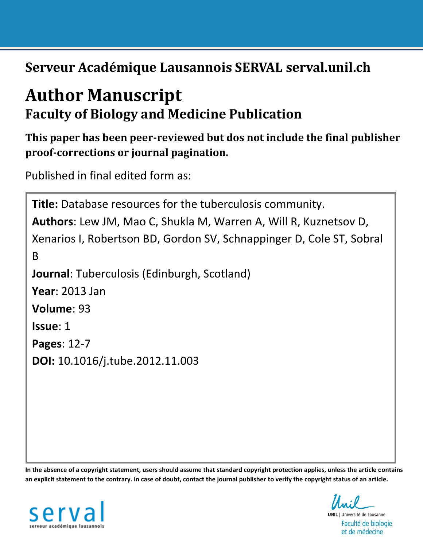**Serveur Académique Lausannois SERVAL serval.unil.ch**

# **Author Manuscript Faculty of Biology and Medicine Publication**

**This paper has been peer-reviewed but dos not include the final publisher proof-corrections or journal pagination.**

Published in final edited form as:

```
Title: Database resources for the tuberculosis community.
Authors: Lew JM, Mao C, Shukla M, Warren A, Will R, Kuznetsov D, 
Xenarios I, Robertson BD, Gordon SV, Schnappinger D, Cole ST, Sobral 
B
Journal: Tuberculosis (Edinburgh, Scotland)
Year: 2013 Jan
Volume: 93
Issue: 1
Pages: 12-7
DOI: 10.1016/j.tube.2012.11.003
```
**In the absence of a copyright statement, users should assume that standard copyright protection applies, unless the article contains an explicit statement to the contrary. In case of doubt, contact the journal publisher to verify the copyright status of an article.**



**UNIL** | Université de Lausanne Faculté de biologie et de médecine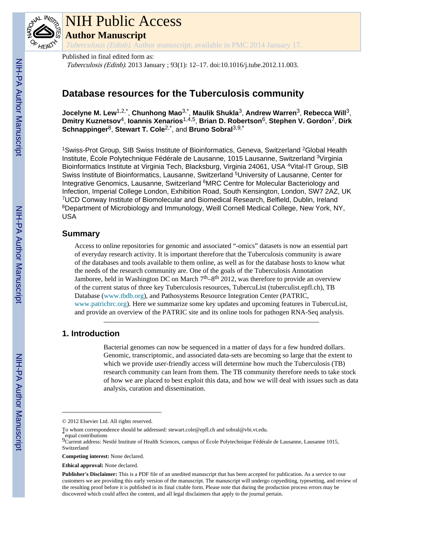

# NIH Public Access

**Author Manuscript**

Tuberculosis (Edinb). Author manuscript; available in PMC 2014 January 17.

Published in final edited form as: Tuberculosis (Edinb). 2013 January ; 93(1): 12–17. doi:10.1016/j.tube.2012.11.003.

# **Database resources for the Tuberculosis community**

**Jocelyne M. Lew**1,2,\* , **Chunhong Mao**3,\* , **Maulik Shukla**3, **Andrew Warren**3, **Rebecca Will**3, **Dmitry Kuznetsov**4, **Ioannis Xenarios**1,4,5, **Brian D. Robertson**6, **Stephen V. Gordon**7, **Dirk Schnappinger**8, **Stewart T. Cole**2,\*, and **Bruno Sobral**3,9,\*

<sup>1</sup>Swiss-Prot Group, SIB Swiss Institute of Bioinformatics, Geneva, Switzerland <sup>2</sup>Global Health Institute, École Polytechnique Fédérale de Lausanne, 1015 Lausanne, Switzerland <sup>3</sup>Virginia Bioinformatics Institute at Virginia Tech, Blacksburg, Virginia 24061, USA <sup>4</sup>Vital-IT Group, SIB Swiss Institute of Bioinformatics, Lausanne, Switzerland <sup>5</sup>University of Lausanne, Center for Integrative Genomics, Lausanne, Switzerland <sup>6</sup>MRC Centre for Molecular Bacteriology and Infection, Imperial College London, Exhibition Road, South Kensington, London, SW7 2AZ, UK <sup>7</sup>UCD Conway Institute of Biomolecular and Biomedical Research, Belfield, Dublin, Ireland <sup>8</sup>Department of Microbiology and Immunology, Weill Cornell Medical College, New York, NY, USA

# **Summary**

Access to online repositories for genomic and associated "-omics" datasets is now an essential part of everyday research activity. It is important therefore that the Tuberculosis community is aware of the databases and tools available to them online, as well as for the database hosts to know what the needs of the research community are. One of the goals of the Tuberculosis Annotation Jamboree, held in Washington DC on March  $7<sup>th</sup>$ –8<sup>th</sup> 2012, was therefore to provide an overview of the current status of three key Tuberculosis resources, TubercuList (tuberculist.epfl.ch), TB Database (www.tbdb.org), and Pathosystems Resource Integration Center (PATRIC, www.patricbrc.org). Here we summarize some key updates and upcoming features in TubercuList, and provide an overview of the PATRIC site and its online tools for pathogen RNA-Seq analysis.

# **1. Introduction**

Bacterial genomes can now be sequenced in a matter of days for a few hundred dollars. Genomic, transcriptomic, and associated data-sets are becoming so large that the extent to which we provide user-friendly access will determine how much the Tuberculosis (TB) research community can learn from them. The TB community therefore needs to take stock of how we are placed to best exploit this data, and how we will deal with issues such as data analysis, curation and dissemination.

<sup>© 2012</sup> Elsevier Ltd. All rights reserved.

To whom correspondence should be addressed: stewart.cole@epfl.ch and sobral@vbi.vt.edu.

equal contributions

 $9c$ urrent address: Nestlé Institute of Health Sciences, campus of École Polytechnique Fédérale de Lausanne, Lausanne 1015, Switzerland

**Competing interest:** None declared.

**Ethical approval:** None declared.

**Publisher's Disclaimer:** This is a PDF file of an unedited manuscript that has been accepted for publication. As a service to our customers we are providing this early version of the manuscript. The manuscript will undergo copyediting, typesetting, and review of the resulting proof before it is published in its final citable form. Please note that during the production process errors may be discovered which could affect the content, and all legal disclaimers that apply to the journal pertain.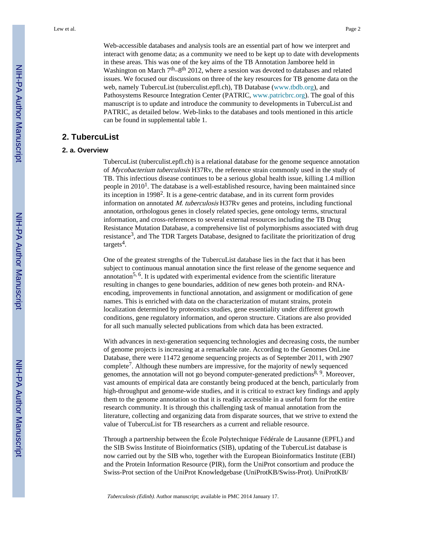Web-accessible databases and analysis tools are an essential part of how we interpret and interact with genome data; as a community we need to be kept up to date with developments in these areas. This was one of the key aims of the TB Annotation Jamboree held in Washington on March  $7<sup>th</sup>$ –8<sup>th</sup> 2012, where a session was devoted to databases and related issues. We focused our discussions on three of the key resources for TB genome data on the web, namely TubercuList (tuberculist.epfl.ch), TB Database (www.tbdb.org), and Pathosystems Resource Integration Center (PATRIC, www.patricbrc.org). The goal of this manuscript is to update and introduce the community to developments in TubercuList and PATRIC, as detailed below. Web-links to the databases and tools mentioned in this article can be found in supplemental table 1.

# **2. TubercuList**

## **2. a. Overview**

TubercuList (tuberculist.epfl.ch) is a relational database for the genome sequence annotation of Mycobacterium tuberculosis H37Rv, the reference strain commonly used in the study of TB. This infectious disease continues to be a serious global health issue, killing 1.4 million people in  $2010<sup>1</sup>$ . The database is a well-established resource, having been maintained since its inception in 1998<sup>2</sup>. It is a gene-centric database, and in its current form provides information on annotated M. tuberculosis H37Rv genes and proteins, including functional annotation, orthologous genes in closely related species, gene ontology terms, structural information, and cross-references to several external resources including the TB Drug Resistance Mutation Database, a comprehensive list of polymorphisms associated with drug resistance<sup>3</sup>, and The TDR Targets Database, designed to facilitate the prioritization of drug targets<sup>4</sup>.

One of the greatest strengths of the TubercuList database lies in the fact that it has been subject to continuous manual annotation since the first release of the genome sequence and annotation<sup>5, 6</sup>. It is updated with experimental evidence from the scientific literature resulting in changes to gene boundaries, addition of new genes both protein- and RNAencoding, improvements in functional annotation, and assignment or modification of gene names. This is enriched with data on the characterization of mutant strains, protein localization determined by proteomics studies, gene essentiality under different growth conditions, gene regulatory information, and operon structure. Citations are also provided for all such manually selected publications from which data has been extracted.

With advances in next-generation sequencing technologies and decreasing costs, the number of genome projects is increasing at a remarkable rate. According to the Genomes OnLine Database, there were 11472 genome sequencing projects as of September 2011, with 2907 complete<sup>7</sup>. Although these numbers are impressive, for the majority of newly sequenced genomes, the annotation will not go beyond computer-generated predictions<sup>8, 9</sup>. Moreover, vast amounts of empirical data are constantly being produced at the bench, particularly from high-throughput and genome-wide studies, and it is critical to extract key findings and apply them to the genome annotation so that it is readily accessible in a useful form for the entire research community. It is through this challenging task of manual annotation from the literature, collecting and organizing data from disparate sources, that we strive to extend the value of TubercuList for TB researchers as a current and reliable resource.

Through a partnership between the École Polytechnique Fédérale de Lausanne (EPFL) and the SIB Swiss Institute of Bioinformatics (SIB), updating of the TubercuList database is now carried out by the SIB who, together with the European Bioinformatics Institute (EBI) and the Protein Information Resource (PIR), form the UniProt consortium and produce the Swiss-Prot section of the UniProt Knowledgebase (UniProtKB/Swiss-Prot). UniProtKB/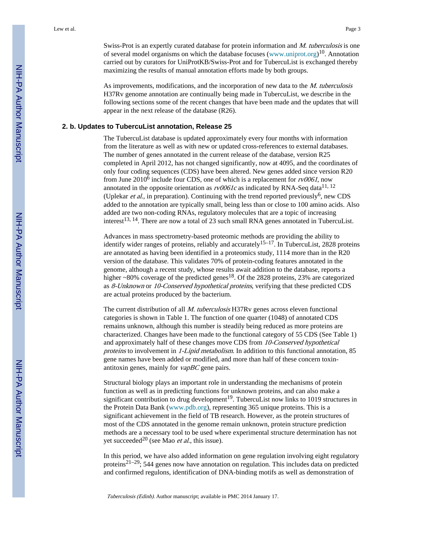Swiss-Prot is an expertly curated database for protein information and M. tuberculosis is one of several model organisms on which the database focuses (www.uniprot.org)<sup>10</sup>. Annotation carried out by curators for UniProtKB/Swiss-Prot and for TubercuList is exchanged thereby maximizing the results of manual annotation efforts made by both groups.

As improvements, modifications, and the incorporation of new data to the M. tuberculosis H37Rv genome annotation are continually being made in TubercuList, we describe in the following sections some of the recent changes that have been made and the updates that will appear in the next release of the database (R26).

#### **2. b. Updates to TubercuList annotation, Release 25**

The TubercuList database is updated approximately every four months with information from the literature as well as with new or updated cross-references to external databases. The number of genes annotated in the current release of the database, version R25 completed in April 2012, has not changed significantly, now at 4095, and the coordinates of only four coding sequences (CDS) have been altered. New genes added since version R20 from June 2010<sup>6</sup> include four CDS, one of which is a replacement for  $rv0061$ , now annotated in the opposite orientation as  $rv0061c$  as indicated by RNA-Seq data<sup>11, 12</sup> (Uplekar *et al.*, in preparation). Continuing with the trend reported previously<sup>6</sup>, new CDS added to the annotation are typically small, being less than or close to 100 amino acids. Also added are two non-coding RNAs, regulatory molecules that are a topic of increasing interest<sup>13, 14</sup>. There are now a total of 23 such small RNA genes annotated in TubercuList.

Advances in mass spectrometry-based proteomic methods are providing the ability to identify wider ranges of proteins, reliably and accurately<sup>15–17</sup>. In TubercuList, 2828 proteins are annotated as having been identified in a proteomics study, 1114 more than in the R20 version of the database. This validates 70% of protein-coding features annotated in the genome, although a recent study, whose results await addition to the database, reports a higher  $\sim80\%$  coverage of the predicted genes<sup>18</sup>. Of the 2828 proteins, 23% are categorized as 8-Unknown or 10-Conserved hypothetical proteins, verifying that these predicted CDS are actual proteins produced by the bacterium.

The current distribution of all *M. tuberculosis* H37Rv genes across eleven functional categories is shown in Table 1. The function of one quarter (1048) of annotated CDS remains unknown, although this number is steadily being reduced as more proteins are characterized. Changes have been made to the functional category of 55 CDS (See Table 1) and approximately half of these changes move CDS from 10-Conserved hypothetical proteins to involvement in 1-Lipid metabolism. In addition to this functional annotation, 85 gene names have been added or modified, and more than half of these concern toxinantitoxin genes, mainly for vapBC gene pairs.

Structural biology plays an important role in understanding the mechanisms of protein function as well as in predicting functions for unknown proteins, and can also make a significant contribution to drug development<sup>19</sup>. TubercuList now links to 1019 structures in the Protein Data Bank (www.pdb.org), representing 365 unique proteins. This is a significant achievement in the field of TB research. However, as the protein structures of most of the CDS annotated in the genome remain unknown, protein structure prediction methods are a necessary tool to be used where experimental structure determination has not vet succeeded<sup>20</sup> (see Mao et al., this issue).

In this period, we have also added information on gene regulation involving eight regulatory proteins<sup>21–29</sup>; 544 genes now have annotation on regulation. This includes data on predicted and confirmed regulons, identification of DNA-binding motifs as well as demonstration of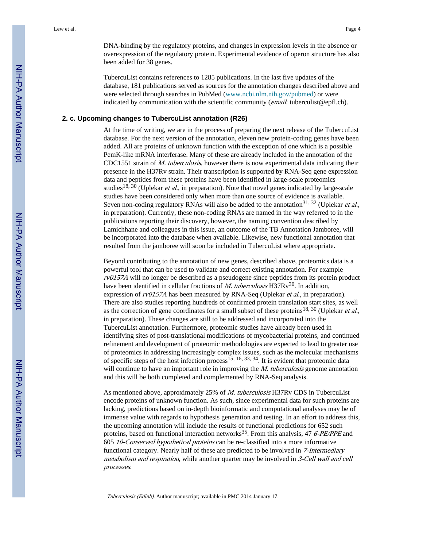TubercuList contains references to 1285 publications. In the last five updates of the database, 181 publications served as sources for the annotation changes described above and were selected through searches in PubMed (www.ncbi.nlm.nih.gov/pubmed) or were indicated by communication with the scientific community (*email:* tuberculist@epfl.ch).

overexpression of the regulatory protein. Experimental evidence of operon structure has also

#### **2. c. Upcoming changes to TubercuList annotation (R26)**

been added for 38 genes.

At the time of writing, we are in the process of preparing the next release of the TubercuList database. For the next version of the annotation, eleven new protein-coding genes have been added. All are proteins of unknown function with the exception of one which is a possible PemK-like mRNA interferase. Many of these are already included in the annotation of the CDC1551 strain of *M. tuberculosis*, however there is now experimental data indicating their presence in the H37Rv strain. Their transcription is supported by RNA-Seq gene expression data and peptides from these proteins have been identified in large-scale proteomics studies<sup>18, 30</sup> (Uplekar *et al.*, in preparation). Note that novel genes indicated by large-scale studies have been considered only when more than one source of evidence is available. Seven non-coding regulatory RNAs will also be added to the annotation<sup>31, 32</sup> (Uplekar et al., in preparation). Currently, these non-coding RNAs are named in the way referred to in the publications reporting their discovery, however, the naming convention described by Lamichhane and colleagues in this issue, an outcome of the TB Annotation Jamboree, will be incorporated into the database when available. Likewise, new functional annotation that resulted from the jamboree will soon be included in TubercuList where appropriate.

Beyond contributing to the annotation of new genes, described above, proteomics data is a powerful tool that can be used to validate and correct existing annotation. For example rv0157A will no longer be described as a pseudogene since peptides from its protein product have been identified in cellular fractions of M. tuberculosis  $H37Rv^{30}$ . In addition, expression of rv0157A has been measured by RNA-Seq (Uplekar et al., in preparation). There are also studies reporting hundreds of confirmed protein translation start sites, as well as the correction of gene coordinates for a small subset of these proteins<sup>18, 30</sup> (Uplekar et al., in preparation). These changes are still to be addressed and incorporated into the TubercuList annotation. Furthermore, proteomic studies have already been used in identifying sites of post-translational modifications of mycobacterial proteins, and continued refinement and development of proteomic methodologies are expected to lead to greater use of proteomics in addressing increasingly complex issues, such as the molecular mechanisms of specific steps of the host infection process<sup>15, 16, 33, 34</sup>. It is evident that proteomic data will continue to have an important role in improving the *M. tuberculosis* genome annotation and this will be both completed and complemented by RNA-Seq analysis.

As mentioned above, approximately 25% of *M. tuberculosis* H37Rv CDS in TubercuList encode proteins of unknown function. As such, since experimental data for such proteins are lacking, predictions based on in-depth bioinformatic and computational analyses may be of immense value with regards to hypothesis generation and testing. In an effort to address this, the upcoming annotation will include the results of functional predictions for 652 such proteins, based on functional interaction networks<sup>35</sup>. From this analysis, 47 6-PE/PPE and 605 10-Conserved hypothetical proteins can be re-classified into a more informative functional category. Nearly half of these are predicted to be involved in 7-Intermediary metabolism and respiration, while another quarter may be involved in 3-Cell wall and cell processes.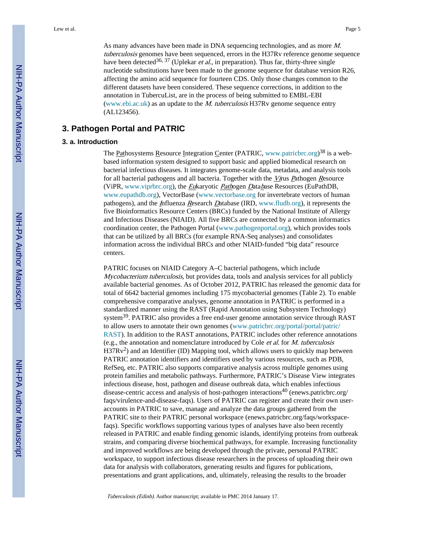As many advances have been made in DNA sequencing technologies, and as more M. tuberculosis genomes have been sequenced, errors in the H37Rv reference genome sequence have been detected<sup>36, 37</sup> (Uplekar *et al.*, in preparation). Thus far, thirty-three single nucleotide substitutions have been made to the genome sequence for database version R26, affecting the amino acid sequence for fourteen CDS. Only those changes common to the different datasets have been considered. These sequence corrections, in addition to the annotation in TubercuList, are in the process of being submitted to EMBL-EBI (www.ebi.ac.uk) as an update to the  $M$ . tuberculosis H37Rv genome sequence entry (AL123456).

# **3. Pathogen Portal and PATRIC**

#### **3. a. Introduction**

The Pathosystems Resource Integration Center (PATRIC, www.patricbrc.org)<sup>38</sup> is a webbased information system designed to support basic and applied biomedical research on bacterial infectious diseases. It integrates genome-scale data, metadata, and analysis tools for all bacterial pathogens and all bacteria. Together with the  $V_{\text{ITUS}}$  Pathogen Resource (ViPR, www.viprbrc.org), the Eukaryotic Pathogen Database Resources (EuPathDB, www.eupathdb.org), VectorBase (www.vectorbase.org for invertebrate vectors of human pathogens), and the Influenza Research Database (IRD, www.fludb.org), it represents the five Bioinformatics Resource Centers (BRCs) funded by the National Institute of Allergy and Infectious Diseases (NIAID). All five BRCs are connected by a common informatics coordination center, the Pathogen Portal (www.pathogenportal.org), which provides tools that can be utilized by all BRCs (for example RNA-Seq analyses) and consolidates information across the individual BRCs and other NIAID-funded "big data" resource centers.

PATRIC focuses on NIAID Category A–C bacterial pathogens, which include Mycobacterium tuberculosis, but provides data, tools and analysis services for all publicly available bacterial genomes. As of October 2012, PATRIC has released the genomic data for total of 6642 bacterial genomes including 175 mycobacterial genomes (Table 2). To enable comprehensive comparative analyses, genome annotation in PATRIC is performed in a standardized manner using the RAST (Rapid Annotation using Subsystem Technology) system39. PATRIC also provides a free end-user genome annotation service through RAST to allow users to annotate their own genomes (www.patricbrc.org/portal/portal/patric/ RAST). In addition to the RAST annotations, PATRIC includes other reference annotations (e.g., the annotation and nomenclature introduced by Cole *et al.* for  $M$ . tuberculosis  $H37Rv<sup>2</sup>$ ) and an Identifier (ID) Mapping tool, which allows users to quickly map between PATRIC annotation identifiers and identifiers used by various resources, such as PDB, RefSeq, etc. PATRIC also supports comparative analysis across multiple genomes using protein families and metabolic pathways. Furthermore, PATRIC's Disease View integrates infectious disease, host, pathogen and disease outbreak data, which enables infectious disease-centric access and analysis of host-pathogen interactions<sup>40</sup> (enews.patricbrc.org/ faqs/virulence-and-disease-faqs). Users of PATRIC can register and create their own useraccounts in PATRIC to save, manage and analyze the data groups gathered from the PATRIC site to their PATRIC personal workspace (enews.patricbrc.org/faqs/workspacefaqs). Specific workflows supporting various types of analyses have also been recently released in PATRIC and enable finding genomic islands, identifying proteins from outbreak strains, and comparing diverse biochemical pathways, for example. Increasing functionality and improved workflows are being developed through the private, personal PATRIC workspace, to support infectious disease researchers in the process of uploading their own data for analysis with collaborators, generating results and figures for publications, presentations and grant applications, and, ultimately, releasing the results to the broader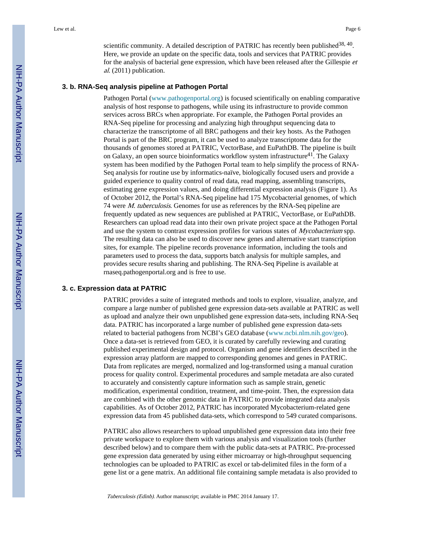scientific community. A detailed description of PATRIC has recently been published  $38, 40$ . Here, we provide an update on the specific data, tools and services that PATRIC provides for the analysis of bacterial gene expression, which have been released after the Gillespie et al. (2011) publication.

#### **3. b. RNA-Seq analysis pipeline at Pathogen Portal**

Pathogen Portal (www.pathogenportal.org) is focused scientifically on enabling comparative analysis of host response to pathogens, while using its infrastructure to provide common services across BRCs when appropriate. For example, the Pathogen Portal provides an RNA-Seq pipeline for processing and analyzing high throughput sequencing data to characterize the transcriptome of all BRC pathogens and their key hosts. As the Pathogen Portal is part of the BRC program, it can be used to analyze transcriptome data for the thousands of genomes stored at PATRIC, VectorBase, and EuPathDB. The pipeline is built on Galaxy, an open source bioinformatics workflow system infrastructure<sup>41</sup>. The Galaxy system has been modified by the Pathogen Portal team to help simplify the process of RNA-Seq analysis for routine use by informatics-naïve, biologically focused users and provide a guided experience to quality control of read data, read mapping, assembling transcripts, estimating gene expression values, and doing differential expression analysis (Figure 1). As of October 2012, the Portal's RNA-Seq pipeline had 175 Mycobacterial genomes, of which 74 were M. tuberculosis. Genomes for use as references by the RNA-Seq pipeline are frequently updated as new sequences are published at PATRIC, VectorBase, or EuPathDB. Researchers can upload read data into their own private project space at the Pathogen Portal and use the system to contrast expression profiles for various states of Mycobacterium spp. The resulting data can also be used to discover new genes and alternative start transcription sites, for example. The pipeline records provenance information, including the tools and parameters used to process the data, supports batch analysis for multiple samples, and provides secure results sharing and publishing. The RNA-Seq Pipeline is available at rnaseq.pathogenportal.org and is free to use.

#### **3. c. Expression data at PATRIC**

PATRIC provides a suite of integrated methods and tools to explore, visualize, analyze, and compare a large number of published gene expression data-sets available at PATRIC as well as upload and analyze their own unpublished gene expression data-sets, including RNA-Seq data. PATRIC has incorporated a large number of published gene expression data-sets related to bacterial pathogens from NCBI's GEO database (www.ncbi.nlm.nih.gov/geo). Once a data-set is retrieved from GEO, it is curated by carefully reviewing and curating published experimental design and protocol. Organism and gene identifiers described in the expression array platform are mapped to corresponding genomes and genes in PATRIC. Data from replicates are merged, normalized and log-transformed using a manual curation process for quality control. Experimental procedures and sample metadata are also curated to accurately and consistently capture information such as sample strain, genetic modification, experimental condition, treatment, and time-point. Then, the expression data are combined with the other genomic data in PATRIC to provide integrated data analysis capabilities. As of October 2012, PATRIC has incorporated Mycobacterium-related gene expression data from 45 published data-sets, which correspond to 549 curated comparisons.

PATRIC also allows researchers to upload unpublished gene expression data into their free private workspace to explore them with various analysis and visualization tools (further described below) and to compare them with the public data-sets at PATRIC. Pre-processed gene expression data generated by using either microarray or high-throughput sequencing technologies can be uploaded to PATRIC as excel or tab-delimited files in the form of a gene list or a gene matrix. An additional file containing sample metadata is also provided to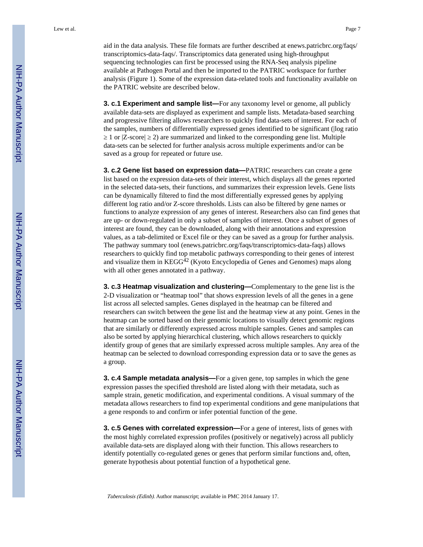aid in the data analysis. These file formats are further described at enews.patricbrc.org/faqs/ transcriptomics-data-faqs/. Transcriptomics data generated using high-throughput sequencing technologies can first be processed using the RNA-Seq analysis pipeline available at Pathogen Portal and then be imported to the PATRIC workspace for further analysis (Figure 1). Some of the expression data-related tools and functionality available on the PATRIC website are described below.

**3. c.1 Experiment and sample list—**For any taxonomy level or genome, all publicly available data-sets are displayed as experiment and sample lists. Metadata-based searching and progressive filtering allows researchers to quickly find data-sets of interest. For each of the samples, numbers of differentially expressed genes identified to be significant (|log ratio

1 or  $|Z\text{-score}|$  2) are summarized and linked to the corresponding gene list. Multiple data-sets can be selected for further analysis across multiple experiments and/or can be saved as a group for repeated or future use.

**3. c.2 Gene list based on expression data—**PATRIC researchers can create a gene list based on the expression data-sets of their interest, which displays all the genes reported in the selected data-sets, their functions, and summarizes their expression levels. Gene lists can be dynamically filtered to find the most differentially expressed genes by applying different log ratio and/or Z-score thresholds. Lists can also be filtered by gene names or functions to analyze expression of any genes of interest. Researchers also can find genes that are up- or down-regulated in only a subset of samples of interest. Once a subset of genes of interest are found, they can be downloaded, along with their annotations and expression values, as a tab-delimited or Excel file or they can be saved as a group for further analysis. The pathway summary tool (enews.patricbrc.org/faqs/transcriptomics-data-faqs) allows researchers to quickly find top metabolic pathways corresponding to their genes of interest and visualize them in  $KEGG^{42}$  (Kyoto Encyclopedia of Genes and Genomes) maps along with all other genes annotated in a pathway.

**3. c.3 Heatmap visualization and clustering—**Complementary to the gene list is the 2-D visualization or "heatmap tool" that shows expression levels of all the genes in a gene list across all selected samples. Genes displayed in the heatmap can be filtered and researchers can switch between the gene list and the heatmap view at any point. Genes in the heatmap can be sorted based on their genomic locations to visually detect genomic regions that are similarly or differently expressed across multiple samples. Genes and samples can also be sorted by applying hierarchical clustering, which allows researchers to quickly identify group of genes that are similarly expressed across multiple samples. Any area of the heatmap can be selected to download corresponding expression data or to save the genes as a group.

**3. c.4 Sample metadata analysis—**For a given gene, top samples in which the gene expression passes the specified threshold are listed along with their metadata, such as sample strain, genetic modification, and experimental conditions. A visual summary of the metadata allows researchers to find top experimental conditions and gene manipulations that a gene responds to and confirm or infer potential function of the gene.

**3. c.5 Genes with correlated expression—**For a gene of interest, lists of genes with the most highly correlated expression profiles (positively or negatively) across all publicly available data-sets are displayed along with their function. This allows researchers to identify potentially co-regulated genes or genes that perform similar functions and, often, generate hypothesis about potential function of a hypothetical gene.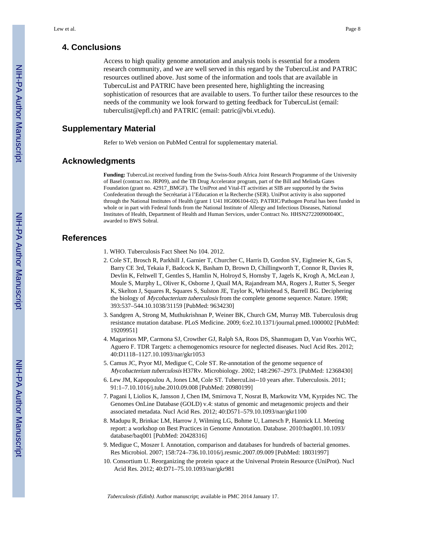# **4. Conclusions**

Access to high quality genome annotation and analysis tools is essential for a modern research community, and we are well served in this regard by the TubercuList and PATRIC resources outlined above. Just some of the information and tools that are available in TubercuList and PATRIC have been presented here, highlighting the increasing sophistication of resources that are available to users. To further tailor these resources to the needs of the community we look forward to getting feedback for TubercuList (email: tuberculist@epfl.ch) and PATRIC (email: patric@vbi.vt.edu).

# **Supplementary Material**

Refer to Web version on PubMed Central for supplementary material.

### **Acknowledgments**

**Funding:** TubercuList received funding from the Swiss-South Africa Joint Research Programme of the University of Basel (contract no. JRP09), and the TB Drug Accelerator program, part of the Bill and Melinda Gates Foundation (grant no. 42917\_BMGF). The UniProt and Vital-IT activities at SIB are supported by the Swiss Confederation through the Secrétariat à l'Education et la Recherche (SER). UniProt activity is also supported through the National Institutes of Health (grant 1 U41 HG006104-02). PATRIC/Pathogen Portal has been funded in whole or in part with Federal funds from the National Institute of Allergy and Infectious Diseases, National Institutes of Health, Department of Health and Human Services, under Contract No. HHSN272200900040C, awarded to BWS Sobral.

# **References**

- 1. WHO. Tuberculosis Fact Sheet No 104. 2012.
- 2. Cole ST, Brosch R, Parkhill J, Garnier T, Churcher C, Harris D, Gordon SV, Eiglmeier K, Gas S, Barry CE 3rd, Tekaia F, Badcock K, Basham D, Brown D, Chillingworth T, Connor R, Davies R, Devlin K, Feltwell T, Gentles S, Hamlin N, Holroyd S, Hornsby T, Jagels K, Krogh A, McLean J, Moule S, Murphy L, Oliver K, Osborne J, Quail MA, Rajandream MA, Rogers J, Rutter S, Seeger K, Skelton J, Squares R, Squares S, Sulston JE, Taylor K, Whitehead S, Barrell BG. Deciphering the biology of *Mycobacterium tuberculosis* from the complete genome sequence. Nature. 1998; 393:537–544.10.1038/31159 [PubMed: 9634230]
- 3. Sandgren A, Strong M, Muthukrishnan P, Weiner BK, Church GM, Murray MB. Tuberculosis drug resistance mutation database. PLoS Medicine. 2009; 6:e2.10.1371/journal.pmed.1000002 [PubMed: 19209951]
- 4. Magarinos MP, Carmona SJ, Crowther GJ, Ralph SA, Roos DS, Shanmugam D, Van Voorhis WC, Aguero F. TDR Targets: a chemogenomics resource for neglected diseases. Nucl Acid Res. 2012; 40:D1118–1127.10.1093/nar/gkr1053
- 5. Camus JC, Pryor MJ, Medigue C, Cole ST. Re-annotation of the genome sequence of Mycobacterium tuberculosis H37Rv. Microbiology. 2002; 148:2967–2973. [PubMed: 12368430]
- 6. Lew JM, Kapopoulou A, Jones LM, Cole ST. TubercuList--10 years after. Tuberculosis. 2011; 91:1–7.10.1016/j.tube.2010.09.008 [PubMed: 20980199]
- 7. Pagani I, Liolios K, Jansson J, Chen IM, Smirnova T, Nosrat B, Markowitz VM, Kyrpides NC. The Genomes OnLine Database (GOLD) v.4: status of genomic and metagenomic projects and their associated metadata. Nucl Acid Res. 2012; 40:D571–579.10.1093/nar/gkr1100
- 8. Madupu R, Brinkac LM, Harrow J, Wilming LG, Bohme U, Lamesch P, Hannick LI. Meeting report: a workshop on Best Practices in Genome Annotation. Database. 2010:baq001.10.1093/ database/baq001 [PubMed: 20428316]
- 9. Medigue C, Moszer I. Annotation, comparison and databases for hundreds of bacterial genomes. Res Microbiol. 2007; 158:724–736.10.1016/j.resmic.2007.09.009 [PubMed: 18031997]
- 10. Consortium U. Reorganizing the protein space at the Universal Protein Resource (UniProt). Nucl Acid Res. 2012; 40:D71–75.10.1093/nar/gkr981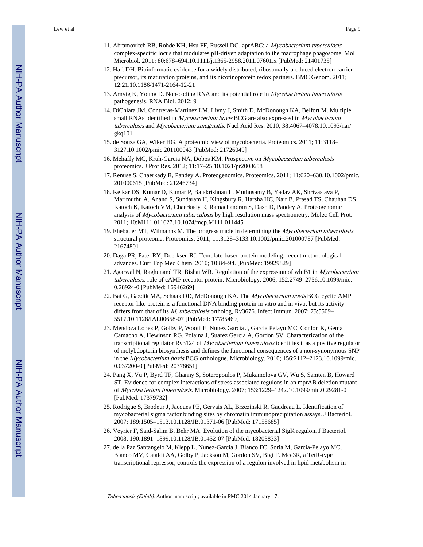Lew et al. Page 9

- 11. Abramovitch RB, Rohde KH, Hsu FF, Russell DG. aprABC: a Mycobacterium tuberculosis complex-specific locus that modulates pH-driven adaptation to the macrophage phagosome. Mol Microbiol. 2011; 80:678–694.10.1111/j.1365-2958.2011.07601.x [PubMed: 21401735]
- 12. Haft DH. Bioinformatic evidence for a widely distributed, ribosomally produced electron carrier precursor, its maturation proteins, and its nicotinoprotein redox partners. BMC Genom. 2011; 12:21.10.1186/1471-2164-12-21
- 13. Arnvig K, Young D. Non-coding RNA and its potential role in Mycobacterium tuberculosis pathogenesis. RNA Biol. 2012; 9
- 14. DiChiara JM, Contreras-Martinez LM, Livny J, Smith D, McDonough KA, Belfort M. Multiple small RNAs identified in *Mycobacterium bovis* BCG are also expressed in *Mycobacterium* tuberculosis and Mycobacterium smegmatis. Nucl Acid Res. 2010; 38:4067–4078.10.1093/nar/ gkq101
- 15. de Souza GA, Wiker HG. A proteomic view of mycobacteria. Proteomics. 2011; 11:3118– 3127.10.1002/pmic.201100043 [PubMed: 21726049]
- 16. Mehaffy MC, Kruh-Garcia NA, Dobos KM. Prospective on Mycobacterium tuberculosis proteomics. J Prot Res. 2012; 11:17–25.10.1021/pr2008658
- 17. Renuse S, Chaerkady R, Pandey A. Proteogenomics. Proteomics. 2011; 11:620–630.10.1002/pmic. 201000615 [PubMed: 21246734]
- 18. Kelkar DS, Kumar D, Kumar P, Balakrishnan L, Muthusamy B, Yadav AK, Shrivastava P, Marimuthu A, Anand S, Sundaram H, Kingsbury R, Harsha HC, Nair B, Prasad TS, Chauhan DS, Katoch K, Katoch VM, Chaerkady R, Ramachandran S, Dash D, Pandey A. Proteogenomic analysis of *Mycobacterium tuberculosis* by high resolution mass spectrometry. Molec Cell Prot. 2011; 10:M111 011627.10.1074/mcp.M111.011445
- 19. Ehebauer MT, Wilmanns M. The progress made in determining the *Mycobacterium tuberculosis* structural proteome. Proteomics. 2011; 11:3128–3133.10.1002/pmic.201000787 [PubMed: 21674801]
- 20. Daga PR, Patel RY, Doerksen RJ. Template-based protein modeling: recent methodological advances. Curr Top Med Chem. 2010; 10:84–94. [PubMed: 19929829]
- 21. Agarwal N, Raghunand TR, Bishai WR. Regulation of the expression of whiB1 in Mycobacterium tuberculosis: role of cAMP receptor protein. Microbiology. 2006; 152:2749–2756.10.1099/mic. 0.28924-0 [PubMed: 16946269]
- 22. Bai G, Gazdik MA, Schaak DD, McDonough KA. The Mycobacterium bovis BCG cyclic AMP receptor-like protein is a functional DNA binding protein in vitro and in vivo, but its activity differs from that of its M. tuberculosis ortholog, Rv3676. Infect Immun. 2007; 75:5509-5517.10.1128/IAI.00658-07 [PubMed: 17785469]
- 23. Mendoza Lopez P, Golby P, Wooff E, Nunez Garcia J, Garcia Pelayo MC, Conlon K, Gema Camacho A, Hewinson RG, Polaina J, Suarez Garcia A, Gordon SV. Characterization of the transcriptional regulator Rv3124 of *Mycobacterium tuberculosis* identifies it as a positive regulator of molybdopterin biosynthesis and defines the functional consequences of a non-synonymous SNP in the Mycobacterium bovis BCG orthologue. Microbiology. 2010; 156:2112–2123.10.1099/mic. 0.037200-0 [PubMed: 20378651]
- 24. Pang X, Vu P, Byrd TF, Ghanny S, Soteropoulos P, Mukamolova GV, Wu S, Samten B, Howard ST. Evidence for complex interactions of stress-associated regulons in an mprAB deletion mutant of Mycobacterium tuberculosis. Microbiology. 2007; 153:1229–1242.10.1099/mic.0.29281-0 [PubMed: 17379732]
- 25. Rodrigue S, Brodeur J, Jacques PE, Gervais AL, Brzezinski R, Gaudreau L. Identification of mycobacterial sigma factor binding sites by chromatin immunoprecipitation assays. J Bacteriol. 2007; 189:1505–1513.10.1128/JB.01371-06 [PubMed: 17158685]
- 26. Veyrier F, Said-Salim B, Behr MA. Evolution of the mycobacterial SigK regulon. J Bacteriol. 2008; 190:1891–1899.10.1128/JB.01452-07 [PubMed: 18203833]
- 27. de la Paz Santangelo M, Klepp L, Nunez-Garcia J, Blanco FC, Soria M, Garcia-Pelayo MC, Bianco MV, Cataldi AA, Golby P, Jackson M, Gordon SV, Bigi F. Mce3R, a TetR-type transcriptional repressor, controls the expression of a regulon involved in lipid metabolism in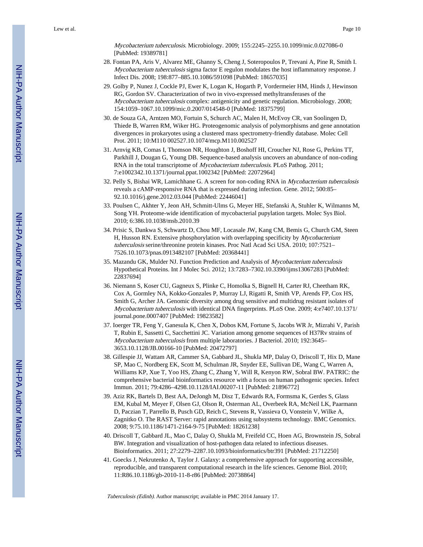Mycobacterium tuberculosis. Microbiology. 2009; 155:2245–2255.10.1099/mic.0.027086-0 [PubMed: 19389781]

- 28. Fontan PA, Aris V, Alvarez ME, Ghanny S, Cheng J, Soteropoulos P, Trevani A, Pine R, Smith I. Mycobacterium tuberculosis sigma factor E regulon modulates the host inflammatory response. J Infect Dis. 2008; 198:877–885.10.1086/591098 [PubMed: 18657035]
- 29. Golby P, Nunez J, Cockle PJ, Ewer K, Logan K, Hogarth P, Vordermeier HM, Hinds J, Hewinson RG, Gordon SV. Characterization of two in vivo-expressed methyltransferases of the Mycobacterium tuberculosis complex: antigenicity and genetic regulation. Microbiology. 2008; 154:1059–1067.10.1099/mic.0.2007/014548-0 [PubMed: 18375799]
- 30. de Souza GA, Arntzen MO, Fortuin S, Schurch AC, Malen H, McEvoy CR, van Soolingen D, Thiede B, Warren RM, Wiker HG. Proteogenomic analysis of polymorphisms and gene annotation divergences in prokaryotes using a clustered mass spectrometry-friendly database. Molec Cell Prot. 2011; 10:M110 002527.10.1074/mcp.M110.002527
- 31. Arnvig KB, Comas I, Thomson NR, Houghton J, Boshoff HI, Croucher NJ, Rose G, Perkins TT, Parkhill J, Dougan G, Young DB. Sequence-based analysis uncovers an abundance of non-coding RNA in the total transcriptome of Mycobacterium tuberculosis. PLoS Pathog. 2011; 7:e1002342.10.1371/journal.ppat.1002342 [PubMed: 22072964]
- 32. Pelly S, Bishai WR, Lamichhane G. A screen for non-coding RNA in Mycobacterium tuberculosis reveals a cAMP-responsive RNA that is expressed during infection. Gene. 2012; 500:85– 92.10.1016/j.gene.2012.03.044 [PubMed: 22446041]
- 33. Poulsen C, Akhter Y, Jeon AH, Schmitt-Ulms G, Meyer HE, Stefanski A, Stuhler K, Wilmanns M, Song YH. Proteome-wide identification of mycobacterial pupylation targets. Molec Sys Biol. 2010; 6:386.10.1038/msb.2010.39
- 34. Prisic S, Dankwa S, Schwartz D, Chou MF, Locasale JW, Kang CM, Bemis G, Church GM, Steen H, Husson RN. Extensive phosphorylation with overlapping specificity by *Mycobacterium* tuberculosis serine/threonine protein kinases. Proc Natl Acad Sci USA. 2010; 107:7521– 7526.10.1073/pnas.0913482107 [PubMed: 20368441]
- 35. Mazandu GK, Mulder NJ. Function Prediction and Analysis of Mycobacterium tuberculosis Hypothetical Proteins. Int J Molec Sci. 2012; 13:7283–7302.10.3390/ijms13067283 [PubMed: 22837694]
- 36. Niemann S, Koser CU, Gagneux S, Plinke C, Homolka S, Bignell H, Carter RJ, Cheetham RK, Cox A, Gormley NA, Kokko-Gonzales P, Murray LJ, Rigatti R, Smith VP, Arends FP, Cox HS, Smith G, Archer JA. Genomic diversity among drug sensitive and multidrug resistant isolates of Mycobacterium tuberculosis with identical DNA fingerprints. PLoS One. 2009; 4:e7407.10.1371/ journal.pone.0007407 [PubMed: 19823582]
- 37. Ioerger TR, Feng Y, Ganesula K, Chen X, Dobos KM, Fortune S, Jacobs WR Jr, Mizrahi V, Parish T, Rubin E, Sassetti C, Sacchettini JC. Variation among genome sequences of H37Rv strains of Mycobacterium tuberculosis from multiple laboratories. J Bacteriol. 2010; 192:3645– 3653.10.1128/JB.00166-10 [PubMed: 20472797]
- 38. Gillespie JJ, Wattam AR, Cammer SA, Gabbard JL, Shukla MP, Dalay O, Driscoll T, Hix D, Mane SP, Mao C, Nordberg EK, Scott M, Schulman JR, Snyder EE, Sullivan DE, Wang C, Warren A, Williams KP, Xue T, Yoo HS, Zhang C, Zhang Y, Will R, Kenyon RW, Sobral BW. PATRIC: the comprehensive bacterial bioinformatics resource with a focus on human pathogenic species. Infect Immun. 2011; 79:4286–4298.10.1128/IAI.00207-11 [PubMed: 21896772]
- 39. Aziz RK, Bartels D, Best AA, DeJongh M, Disz T, Edwards RA, Formsma K, Gerdes S, Glass EM, Kubal M, Meyer F, Olsen GJ, Olson R, Osterman AL, Overbeek RA, McNeil LK, Paarmann D, Paczian T, Parrello B, Pusch GD, Reich C, Stevens R, Vassieva O, Vonstein V, Wilke A, Zagnitko O. The RAST Server: rapid annotations using subsystems technology. BMC Genomics. 2008; 9:75.10.1186/1471-2164-9-75 [PubMed: 18261238]
- 40. Driscoll T, Gabbard JL, Mao C, Dalay O, Shukla M, Freifeld CC, Hoen AG, Brownstein JS, Sobral BW. Integration and visualization of host-pathogen data related to infectious diseases. Bioinformatics. 2011; 27:2279–2287.10.1093/bioinformatics/btr391 [PubMed: 21712250]
- 41. Goecks J, Nekrutenko A, Taylor J. Galaxy: a comprehensive approach for supporting accessible, reproducible, and transparent computational research in the life sciences. Genome Biol. 2010; 11:R86.10.1186/gb-2010-11-8-r86 [PubMed: 20738864]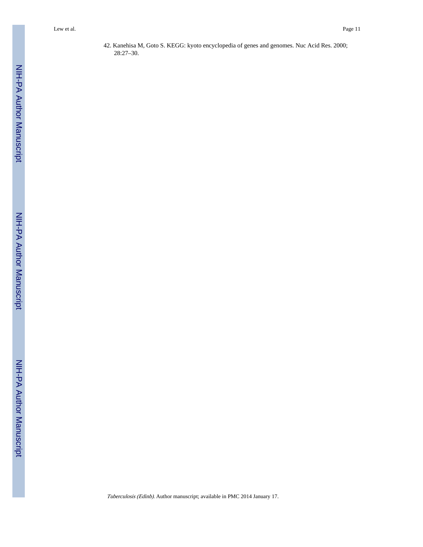42. Kanehisa M, Goto S. KEGG: kyoto encyclopedia of genes and genomes. Nuc Acid Res. 2000; 28:27–30.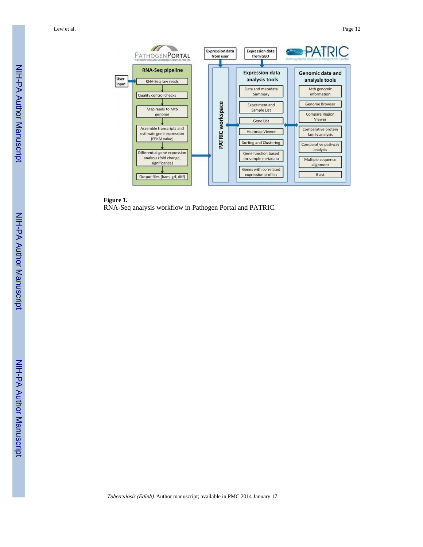Lew et al. Page 12



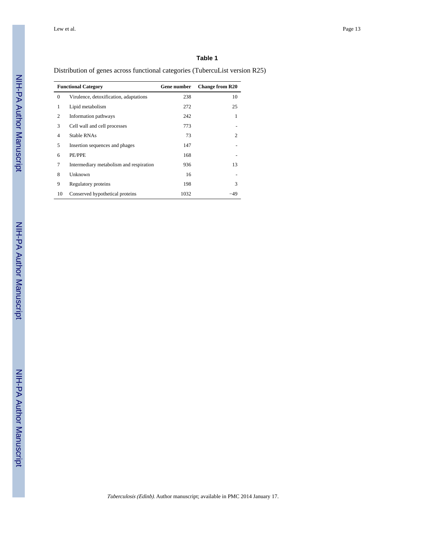## **Table 1**

Distribution of genes across functional categories (TubercuList version R25)

| <b>Functional Category</b> |                                         | Gene number | <b>Change from R20</b> |
|----------------------------|-----------------------------------------|-------------|------------------------|
| $\theta$                   | Virulence, detoxification, adaptations  | 238         | 10                     |
| 1                          | Lipid metabolism                        | 272         | 25                     |
| 2                          | Information pathways                    | 242         | 1                      |
| 3                          | Cell wall and cell processes            | 773         |                        |
| $\overline{4}$             | Stable RNAs                             | 73          | 2                      |
| 5                          | Insertion sequences and phages          | 147         |                        |
| 6                          | PE/PPE                                  | 168         |                        |
| 7                          | Intermediary metabolism and respiration | 936         | 13                     |
| 8                          | Unknown                                 | 16          |                        |
| 9                          | Regulatory proteins                     | 198         | 3                      |
| 10                         | Conserved hypothetical proteins         | 1032        | -49                    |